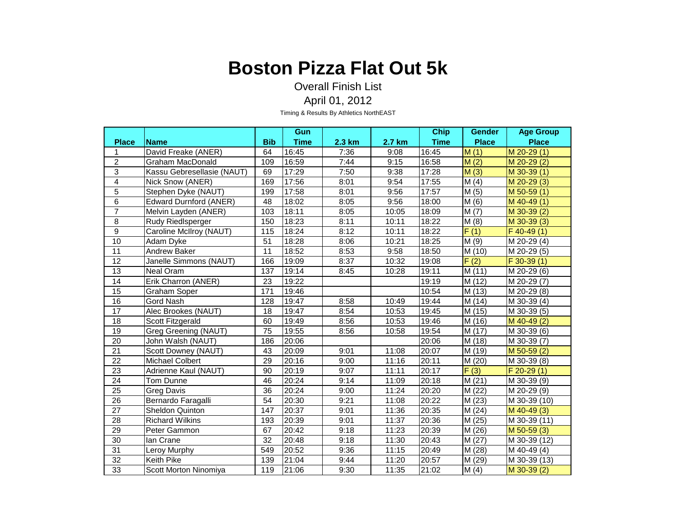Overall Finish List April 01, 2012

|                 |                               |            | Gun                |        |        | <b>Chip</b> | <b>Gender</b>              | <b>Age Group</b>           |
|-----------------|-------------------------------|------------|--------------------|--------|--------|-------------|----------------------------|----------------------------|
| <b>Place</b>    | <b>Name</b>                   | <b>Bib</b> | <b>Time</b>        | 2.3 km | 2.7 km | <b>Time</b> | <b>Place</b>               | <b>Place</b>               |
| 1               | David Freake (ANER)           | 64         | 16:45              | 7:36   | 9:08   | 16:45       | M(1)                       | M 20-29 (1)                |
| $\overline{2}$  | Graham MacDonald              | 109        | 16:59              | 7:44   | 9:15   | 16:58       | M(2)                       | $M$ 20-29 $(2)$            |
| $\overline{3}$  | Kassu Gebresellasie (NAUT)    | 69         | $\overline{17:}29$ | 7:50   | 9:38   | 17:28       | M(3)                       | $M$ 30-39 $(1)$            |
| $\overline{4}$  | Nick Snow (ANER)              | 169        | 17:56              | 8:01   | 9:54   | 17:55       | M(4)                       | $M$ 20-29 $(3)$            |
| 5               | Stephen Dyke (NAUT)           | 199        | 17:58              | 8:01   | 9:56   | 17:57       | M(5)                       | $M$ 50-59 $(1)$            |
| 6               | <b>Edward Durnford (ANER)</b> | 48         | 18:02              | 8:05   | 9:56   | 18:00       | M(6)                       | $M$ 40-49 $(1)$            |
| $\overline{7}$  | Melvin Layden (ANER)          | 103        | 18:11              | 8:05   | 10:05  | 18:09       | M(7)                       | M 30-39 (2)                |
| 8               | Rudy Riedlsperger             | 150        | 18:23              | 8:11   | 10:11  | 18:22       | $\overline{\mathsf{M}}(8)$ | $M$ 30-39 $(3)$            |
| $\overline{9}$  | Caroline McIlroy (NAUT)       | 115        | 18:24              | 8:12   | 10:11  | 18:22       | $\overline{F(1)}$          | $F$ 40-49 $(1)$            |
| 10              | Adam Dyke                     | 51         | 18:28              | 8:06   | 10:21  | 18:25       | M(9)                       | M 20-29 (4)                |
| 11              | <b>Andrew Baker</b>           | 11         | 18:52              | 8:53   | 9:58   | 18:50       | M (10)                     | M 20-29 (5)                |
| 12              | Janelle Simmons (NAUT)        | 166        | 19:09              | 8:37   | 10:32  | 19:08       | $\overline{F(2)}$          | $F$ 30-39 $(1)$            |
| 13              | Neal Oram                     | 137        | 19:14              | 8:45   | 10:28  | 19:11       | M(11)                      | M 20-29 (6)                |
| $\overline{14}$ | Erik Charron (ANER)           | 23         | 19:22              |        |        | 19:19       | M (12)                     | M 20-29 (7)                |
| 15              | Graham Soper                  | 171        | 19:46              |        |        | 10:54       | M(13)                      | M 20-29 (8)                |
| 16              | <b>Gord Nash</b>              | 128        | 19:47              | 8:58   | 10:49  | 19:44       | M (14)                     | M 30-39 (4)                |
| 17              | Alec Brookes (NAUT)           | 18         | 19:47              | 8:54   | 10:53  | 19:45       | M(15)                      | $\overline{M}$ 30-39 $(5)$ |
| 18              | Scott Fitzgerald              | 60         | 19:49              | 8:56   | 10:53  | 19:46       | M (16)                     | M 40-49 (2)                |
| 19              | <b>Greg Greening (NAUT)</b>   | 75         | 19:55              | 8:56   | 10:58  | 19:54       | M (17)                     | M 30-39 (6)                |
| 20              | John Walsh (NAUT)             | 186        | 20:06              |        |        | 20:06       | M (18)                     | M 30-39 (7)                |
| 21              | Scott Downey (NAUT)           | 43         | 20:09              | 9:01   | 11:08  | 20:07       | M (19)                     | M 50-59 (2)                |
| 22              | <b>Michael Colbert</b>        | 29         | 20:16              | 9:00   | 11:16  | 20:11       | M (20)                     | M 30-39 (8)                |
| 23              | Adrienne Kaul (NAUT)          | 90         | 20:19              | 9:07   | 11:11  | 20:17       | F(3)                       | $F 20-29(1)$               |
| 24              | Tom Dunne                     | 46         | 20:24              | 9:14   | 11:09  | 20:18       | M(21)                      | M 30-39 (9)                |
| 25              | Greg Davis                    | 36         | 20:24              | 9:00   | 11:24  | 20:20       | M(22)                      | M 20-29 (9)                |
| 26              | Bernardo Faragalli            | 54         | 20:30              | 9:21   | 11:08  | 20:22       | M(23)                      | M 30-39 (10)               |
| 27              | Sheldon Quinton               | 147        | 20:37              | 9:01   | 11:36  | 20:35       | M(24)                      | $M$ 40-49 $(3)$            |
| 28              | <b>Richard Wilkins</b>        | 193        | 20:39              | 9:01   | 11:37  | 20:36       | M (25)                     | M 30-39 (11)               |
| 29              | Peter Gammon                  | 67         | 20:42              | 9:18   | 11:23  | 20:39       | M (26)                     | $M$ 50-59 $(3)$            |
| 30              | lan Crane                     | 32         | 20:48              | 9:18   | 11:30  | 20:43       | M(27)                      | M 30-39 (12)               |
| $\overline{31}$ | Leroy Murphy                  | 549        | 20:52              | 9:36   | 11:15  | 20:49       | M (28)                     | M 40-49 (4)                |
| 32              | <b>Keith Pike</b>             | 139        | 21:04              | 9:44   | 11:20  | 20:57       | M (29)                     | M 30-39 (13)               |
| 33              | Scott Morton Ninomiya         | 119        | 21:06              | 9:30   | 11:35  | 21:02       | M(4)                       | M 30-39 (2)                |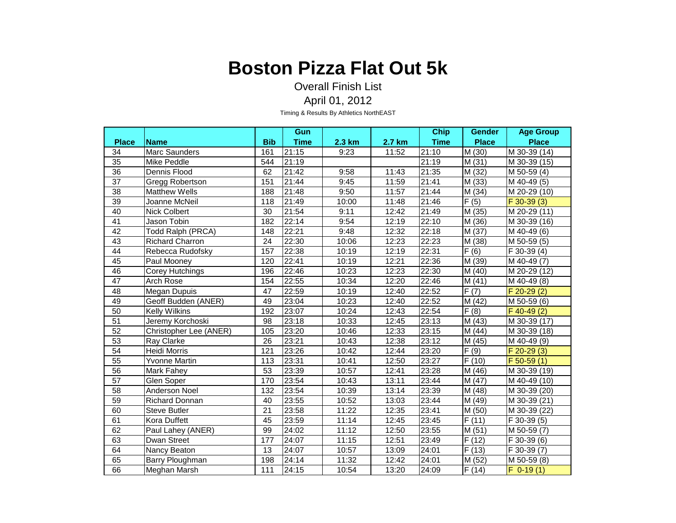Overall Finish List April 01, 2012

|                 |                        |            | Gun                |               |        | <b>Chip</b> | <b>Gender</b>     | <b>Age Group</b> |
|-----------------|------------------------|------------|--------------------|---------------|--------|-------------|-------------------|------------------|
| <b>Place</b>    | <b>Name</b>            | <b>Bib</b> | <b>Time</b>        | <b>2.3 km</b> | 2.7 km | <b>Time</b> | <b>Place</b>      | <b>Place</b>     |
| 34              | Marc Saunders          | 161        | 21:15              | 9:23          | 11:52  | 21:10       | M (30)            | M 30-39 (14)     |
| 35              | Mike Peddle            | 544        | 21:19              |               |        | 21:19       | M(31)             | M 30-39 (15)     |
| 36              | Dennis Flood           | 62         | 21:42              | 9:58          | 11:43  | 21:35       | M (32)            | M 50-59 (4)      |
| $\overline{37}$ | <b>Gregg Robertson</b> | 151        | 21:44              | 9:45          | 11:59  | 21:41       | M (33)            | M 40-49 (5)      |
| 38              | <b>Matthew Wells</b>   | 188        | $\overline{2}1:48$ | 9:50          | 11:57  | 21:44       | M (34)            | M 20-29 (10)     |
| 39              | Joanne McNeil          | 118        | 21:49              | 10:00         | 11:48  | 21:46       | F(5)              | $F$ 30-39 (3)    |
| 40              | <b>Nick Colbert</b>    | 30         | 21:54              | 9:11          | 12:42  | 21:49       | M (35)            | M 20-29 (11)     |
| 41              | Jason Tobin            | 182        | 22:14              | 9:54          | 12:19  | 22:10       | M (36)            | M 30-39 (16)     |
| $\overline{42}$ | Todd Ralph (PRCA)      | 148        | 22:21              | 9:48          | 12:32  | 22:18       | M (37)            | M 40-49 (6)      |
| 43              | <b>Richard Charron</b> | 24         | 22:30              | 10:06         | 12:23  | 22:23       | M (38)            | M 50-59 (5)      |
| 44              | Rebecca Rudofsky       | 157        | 22:38              | 10:19         | 12:19  | 22:31       | F(6)              | F 30-39 (4)      |
| 45              | Paul Mooney            | 120        | 22:41              | 10:19         | 12:21  | 22:36       | M (39)            | M 40-49 (7)      |
| 46              | Corey Hutchings        | 196        | 22:46              | 10:23         | 12:23  | 22:30       | M(40)             | M 20-29 (12)     |
| 47              | Arch Rose              | 154        | 22:55              | 10:34         | 12:20  | 22:46       | M(41)             | M 40-49 (8)      |
| 48              | Megan Dupuis           | 47         | 22:59              | 10:19         | 12:40  | 22:52       | $\overline{F(7)}$ | $F 20-29(2)$     |
| 49              | Geoff Budden (ANER)    | 49         | 23:04              | 10:23         | 12:40  | 22:52       | M(42)             | M 50-59 (6)      |
| $\overline{50}$ | <b>Kelly Wilkins</b>   | 192        | 23:07              | 10:24         | 12:43  | 22:54       | $\overline{F(8)}$ | $F$ 40-49 $(2)$  |
| 51              | Jeremy Korchoski       | 98         | 23:18              | 10:33         | 12:45  | 23:13       | M (43)            | M 30-39 (17)     |
| 52              | Christopher Lee (ANER) | 105        | 23:20              | 10:46         | 12:33  | 23:15       | M(44)             | M 30-39 (18)     |
| 53              | Ray Clarke             | 26         | 23:21              | 10:43         | 12:38  | 23:12       | M (45)            | M 40-49 (9)      |
| 54              | Heidi Morris           | 121        | 23:26              | 10:42         | 12:44  | 23:20       | F(9)              | $F$ 20-29 $(3)$  |
| 55              | Yvonne Martin          | 113        | 23:31              | 10:41         | 12:50  | 23:27       | F(10)             | $F 50-59(1)$     |
| 56              | Mark Fahey             | 53         | 23:39              | 10:57         | 12:41  | 23:28       | M (46)            | M 30-39 (19)     |
| 57              | Glen Soper             | 170        | 23:54              | 10:43         | 13:11  | 23:44       | M(47)             | M 40-49 (10)     |
| 58              | <b>Anderson Noel</b>   | 132        | 23:54              | 10:39         | 13:14  | 23:39       | M (48)            | M 30-39 (20)     |
| 59              | <b>Richard Donnan</b>  | 40         | 23:55              | 10:52         | 13:03  | 23:44       | M (49)            | M 30-39 (21)     |
| 60              | <b>Steve Butler</b>    | 21         | 23:58              | 11:22         | 12:35  | 23:41       | M (50)            | M 30-39 (22)     |
| 61              | Kora Duffett           | 45         | 23:59              | 11:14         | 12:45  | 23:45       | F(11)             | F 30-39 (5)      |
| 62              | Paul Lahey (ANER)      | 99         | 24:02              | 11:12         | 12:50  | 23:55       | M(51)             | M 50-59 (7)      |
| 63              | Dwan Street            | 177        | 24:07              | 11:15         | 12:51  | 23:49       | F(12)             | F 30-39 (6)      |
| 64              | Nancy Beaton           | 13         | 24:07              | 10:57         | 13:09  | 24:01       | F(13)             | F 30-39 (7)      |
| 65              | Barry Ploughman        | 198        | 24:14              | 11:32         | 12:42  | 24:01       | M (52)            | M 50-59 (8)      |
| 66              | Meghan Marsh           | 111        | 24:15              | 10:54         | 13:20  | 24:09       | F(14)             | $F$ 0-19 $(1)$   |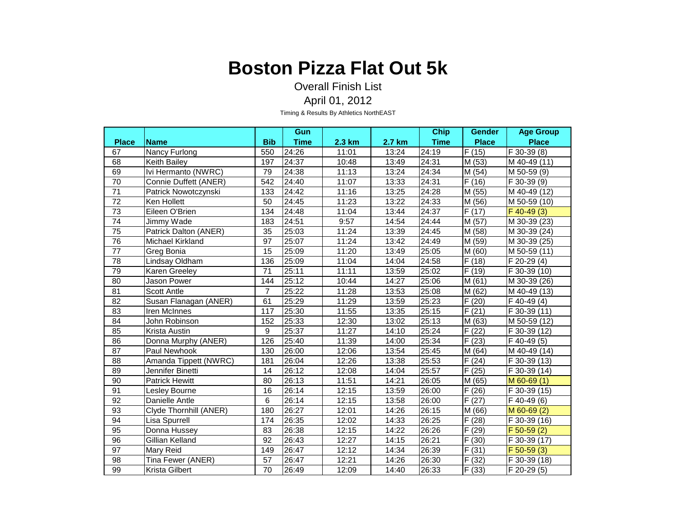Overall Finish List April 01, 2012

|                 |                        |                 | Gun                |        |        | <b>Chip</b> | <b>Gender</b> | <b>Age Group</b>          |
|-----------------|------------------------|-----------------|--------------------|--------|--------|-------------|---------------|---------------------------|
| <b>Place</b>    | <b>Name</b>            | <b>Bib</b>      | <b>Time</b>        | 2.3 km | 2.7 km | <b>Time</b> | <b>Place</b>  | <b>Place</b>              |
| 67              | Nancy Furlong          | 550             | 24:26              | 11:01  | 13:24  | 24:19       | F(15)         | F 30-39 (8)               |
| 68              | Keith Bailey           | 197             | 24:37              | 10:48  | 13:49  | 24:31       | M (53)        | M 40-49 (11)              |
| 69              | Ivi Hermanto (NWRC)    | 79              | 24:38              | 11:13  | 13:24  | 24:34       | M (54)        | M 50-59 (9)               |
| 70              | Connie Duffett (ANER)  | 542             | 24:40              | 11:07  | 13:33  | 24:31       | F(16)         | F 30-39 (9)               |
| $\overline{71}$ | Patrick Nowotczynski   | 133             | 24:42              | 11:16  | 13:25  | 24:28       | M (55)        | M 40-49 (12)              |
| 72              | Ken Hollett            | 50              | 24:45              | 11:23  | 13:22  | 24:33       | M (56)        | M 50-59 (10)              |
| 73              | Eileen O'Brien         | 134             | 24:48              | 11:04  | 13:44  | 24:37       | F(17)         | $F$ 40-49 (3)             |
| 74              | Jimmy Wade             | 183             | 24:51              | 9:57   | 14:54  | 24:44       | M (57)        | M 30-39 (23)              |
| $\overline{75}$ | Patrick Dalton (ANER)  | $\overline{35}$ | 25:03              | 11:24  | 13:39  | 24:45       | M (58)        | M 30-39 (24)              |
| 76              | Michael Kirkland       | 97              | 25:07              | 11:24  | 13:42  | 24:49       | M (59)        | M 30-39 (25)              |
| 77              | Greg Bonia             | 15              | 25:09              | 11:20  | 13:49  | 25:05       | M(60)         | M 50-59 (11)              |
| 78              | Lindsay Oldham         | 136             | 25:09              | 11:04  | 14:04  | 24:58       | F(18)         | F 20-29 (4)               |
| 79              | Karen Greeley          | 71              | 25:11              | 11:11  | 13:59  | 25:02       | F(19)         | $\overline{F}$ 30-39 (10) |
| 80              | Jason Power            | 144             | 25:12              | 10:44  | 14:27  | 25:06       | M(61)         | M 30-39 (26)              |
| 81              | <b>Scott Antle</b>     | $\overline{7}$  | 25:22              | 11:28  | 13:53  | 25:08       | M(62)         | M 40-49 (13)              |
| 82              | Susan Flanagan (ANER)  | 61              | 25:29              | 11:29  | 13:59  | 25:23       | F(20)         | $F$ 40-49 (4)             |
| 83              | Iren McInnes           | 117             | 25:30              | 11:55  | 13:35  | 25:15       | F(21)         | F 30-39 (11)              |
| 84              | John Robinson          | 152             | 25:33              | 12:30  | 13:02  | 25:13       | M (63)        | M 50-59 (12)              |
| 85              | Krista Austin          | 9               | 25:37              | 11:27  | 14:10  | 25:24       | F(22)         | F 30-39 (12)              |
| 86              | Donna Murphy (ANER)    | 126             | 25:40              | 11:39  | 14:00  | 25:34       | F(23)         | F 40-49 (5)               |
| 87              | Paul Newhook           | 130             | 26:00              | 12:06  | 13:54  | 25:45       | M(64)         | M 40-49 (14)              |
| 88              | Amanda Tippett (NWRC)  | 181             | 26:04              | 12:26  | 13:38  | 25:53       | F(24)         | F 30-39 (13)              |
| 89              | Jennifer Binetti       | 14              | 26:12              | 12:08  | 14:04  | 25:57       | F(25)         | F 30-39 (14)              |
| 90              | <b>Patrick Hewitt</b>  | 80              | 26:13              | 11:51  | 14:21  | 26:05       | M (65)        | $M$ 60-69 $(1)$           |
| 91              | Lesley Bourne          | 16              | $\overline{26:}14$ | 12:15  | 13:59  | 26:00       | F(26)         | F 30-39 (15)              |
| 92              | Danielle Antle         | 6               | 26:14              | 12:15  | 13:58  | 26:00       | F(27)         | $F$ 40-49 $(6)$           |
| 93              | Clyde Thornhill (ANER) | 180             | 26:27              | 12:01  | 14:26  | 26:15       | M (66)        | M 60-69 (2)               |
| 94              | Lisa Spurrell          | 174             | 26:35              | 12:02  | 14:33  | 26:25       | F(28)         | F 30-39 (16)              |
| 95              | Donna Hussey           | 83              | 26:38              | 12:15  | 14:22  | 26:26       | F (29)        | $F$ 50-59 $(2)$           |
| 96              | Gillian Kelland        | 92              | 26:43              | 12:27  | 14:15  | 26:21       | F(30)         | F 30-39 (17)              |
| 97              | Mary Reid              | 149             | 26:47              | 12:12  | 14:34  | 26:39       | F(31)         | $F$ 50-59 (3)             |
| 98              | Tina Fewer (ANER)      | 57              | 26:47              | 12:21  | 14:26  | 26:30       | F(32)         | F 30-39 (18)              |
| 99              | Krista Gilbert         | 70              | 26:49              | 12:09  | 14:40  | 26:33       | F(33)         | F 20-29 (5)               |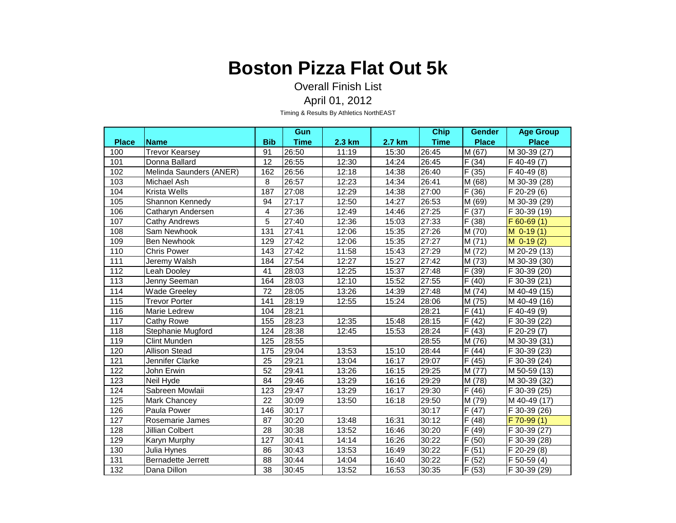Overall Finish List April 01, 2012

|              |                           |            | Gun         |               |               | <b>Chip</b> | <b>Gender</b>      | <b>Age Group</b>          |
|--------------|---------------------------|------------|-------------|---------------|---------------|-------------|--------------------|---------------------------|
| <b>Place</b> | <b>Name</b>               | <b>Bib</b> | <b>Time</b> | <b>2.3 km</b> | <b>2.7 km</b> | <b>Time</b> | <b>Place</b>       | <b>Place</b>              |
| 100          | <b>Trevor Kearsey</b>     | 91         | 26:50       | 11:19         | 15:30         | 26:45       | M (67)             | M 30-39 (27)              |
| 101          | Donna Ballard             | 12         | 26:55       | 12:30         | 14:24         | 26:45       | F(34)              | F 40-49 (7)               |
| 102          | Melinda Saunders (ANER)   | 162        | 26:56       | 12:18         | 14:38         | 26:40       | F(35)              | F 40-49 (8)               |
| 103          | Michael Ash               | 8          | 26:57       | 12:23         | 14:34         | 26:41       | M (68)             | M 30-39 (28)              |
| 104          | <b>Krista Wells</b>       | 187        | 27:08       | 12:29         | 14:38         | 27:00       | F(36)              | $\overline{F}$ 20-29 (6)  |
| 105          | Shannon Kennedy           | 94         | 27:17       | 12:50         | 14:27         | 26:53       | M (69)             | M 30-39 (29)              |
| 106          | Catharyn Andersen         | 4          | 27:36       | 12:49         | 14:46         | 27:25       | F(37)              | F 30-39 (19)              |
| 107          | Cathy Andrews             | 5          | 27:40       | 12:36         | 15:03         | 27:33       | F(38)              | $F$ 60-69 $(1)$           |
| 108          | Sam Newhook               | 131        | 27:41       | 12:06         | 15:35         | 27:26       | M (70)             | $M$ 0-19 $(1)$            |
| 109          | <b>Ben Newhook</b>        | 129        | 27:42       | 12:06         | 15:35         | 27:27       | M(71)              | $M$ 0-19 $(2)$            |
| 110          | <b>Chris Power</b>        | 143        | 27:42       | 11:58         | 15:43         | 27:29       | M (72)             | M 20-29 (13)              |
| 111          | Jeremy Walsh              | 184        | 27:54       | 12:27         | 15:27         | 27:42       | M (73)             | M 30-39 (30)              |
| 112          | Leah Dooley               | 41         | 28:03       | 12:25         | 15:37         | 27:48       | F(39)              | $\overline{F}$ 30-39 (20) |
| 113          | Jenny Seeman              | 164        | 28:03       | 12:10         | 15:52         | 27:55       | F(40)              | F 30-39 (21)              |
| 114          | <b>Wade Greeley</b>       | 72         | 28:05       | 13:26         | 14:39         | 27:48       | M (74)             | M 40-49 (15)              |
| 115          | <b>Trevor Porter</b>      | 141        | 28:19       | 12:55         | 15:24         | 28:06       | M (75)             | M 40-49 (16)              |
| 116          | Marie Ledrew              | 104        | 28:21       |               |               | 28:21       | F(41)              | F 40-49 (9)               |
| 117          | Cathy Rowe                | 155        | 28:23       | 12:35         | 15:48         | 28:15       | F(42)              | F 30-39 (22)              |
| 118          | Stephanie Mugford         | 124        | 28:38       | 12:45         | 15:53         | 28:24       | F(43)              | F 20-29 (7)               |
| 119          | <b>Clint Munden</b>       | 125        | 28:55       |               |               | 28:55       | M (76)             | M 30-39 (31)              |
| 120          | <b>Allison Stead</b>      | 175        | 29:04       | 13:53         | 15:10         | 28:44       | F(44)              | $F$ 30-39 (23)            |
| 121          | Jennifer Clarke           | 25         | 29:21       | 13:04         | 16:17         | 29:07       | F(45)              | F 30-39 (24)              |
| 122          | John Erwin                | 52         | 29:41       | 13:26         | 16:15         | 29:25       | M (77)             | M 50-59 (13)              |
| 123          | Neil Hyde                 | 84         | 29:46       | 13:29         | 16:16         | 29:29       | M (78)             | M 30-39 (32)              |
| 124          | Sabreen Mowlaii           | 123        | 29:47       | 13:29         | 16:17         | 29:30       | $\overline{F(46)}$ | F 30-39 (25)              |
| 125          | Mark Chancey              | 22         | 30:09       | 13:50         | 16:18         | 29:50       | M (79)             | M 40-49 (17)              |
| 126          | Paula Power               | 146        | 30:17       |               |               | 30:17       | F(47)              | $\overline{F}$ 30-39 (26) |
| 127          | Rosemarie James           | 87         | 30:20       | 13:48         | 16:31         | 30:12       | F(48)              | $F$ 70-99 $(1)$           |
| 128          | Jillian Colbert           | 28         | 30:38       | 13:52         | 16:46         | 30:20       | F (49)             | F 30-39 (27)              |
| 129          | Karyn Murphy              | 127        | 30:41       | 14:14         | 16:26         | 30:22       | F(50)              | F 30-39 (28)              |
| 130          | Julia Hynes               | 86         | 30:43       | 13:53         | 16:49         | 30:22       | F(51)              | F 20-29 (8)               |
| 131          | <b>Bernadette Jerrett</b> | 88         | 30:44       | 14:04         | 16:40         | 30:22       | $\overline{F}(52)$ | $\overline{F}$ 50-59 (4)  |
| 132          | Dana Dillon               | 38         | 30:45       | 13:52         | 16:53         | 30:35       | F(53)              | F 30-39 (29)              |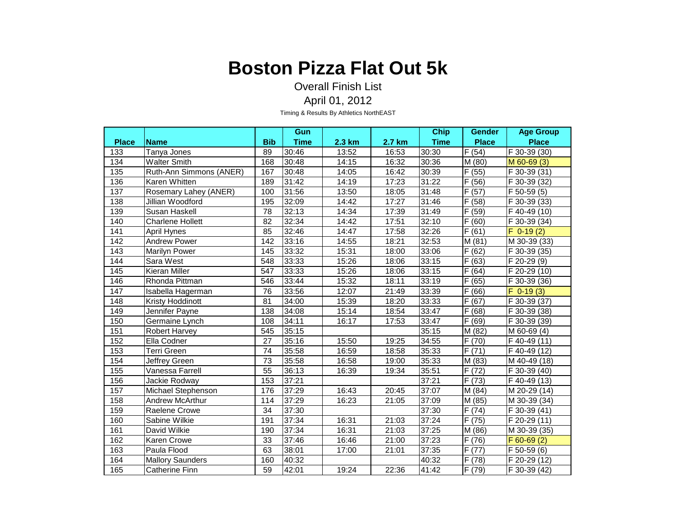Overall Finish List April 01, 2012

|              |                         |                 | Gun         |                  |        | <b>Chip</b> | <b>Gender</b> | <b>Age Group</b>          |
|--------------|-------------------------|-----------------|-------------|------------------|--------|-------------|---------------|---------------------------|
| <b>Place</b> | <b>Name</b>             | <b>Bib</b>      | <b>Time</b> | $2.3 \text{ km}$ | 2.7 km | <b>Time</b> | <b>Place</b>  | <b>Place</b>              |
| 133          | Tanya Jones             | 89              | 30:46       | 13:52            | 16:53  | 30:30       | F(54)         | F 30-39 (30)              |
| 134          | <b>Walter Smith</b>     | 168             | 30:48       | 14:15            | 16:32  | 30:36       | M (80)        | M 60-69 (3)               |
| 135          | Ruth-Ann Simmons (ANER) | 167             | 30:48       | 14:05            | 16:42  | 30:39       | F(55)         | F 30-39 (31)              |
| 136          | Karen Whitten           | 189             | 31:42       | 14:19            | 17:23  | 31:22       | F(56)         | F 30-39 (32)              |
| 137          | Rosemary Lahey (ANER)   | 100             | 31:56       | 13:50            | 18:05  | 31:48       | F(57)         | $\overline{F}$ 50-59 (5)  |
| 138          | Jillian Woodford        | 195             | 32:09       | 14:42            | 17:27  | 31:46       | F(58)         | $\overline{F}$ 30-39 (33) |
| 139          | Susan Haskell           | 78              | 32:13       | 14:34            | 17:39  | 31:49       | F(59)         | F 40-49 (10)              |
| 140          | <b>Charlene Hollett</b> | 82              | 32:34       | 14:42            | 17:51  | 32:10       | F(60)         | F 30-39 (34)              |
| 141          | April Hynes             | 85              | 32:46       | 14:47            | 17:58  | 32:26       | F(61)         | $F$ 0-19 $(2)$            |
| 142          | <b>Andrew Power</b>     | 142             | 33:16       | 14:55            | 18:21  | 32:53       | M(81)         | M 30-39 (33)              |
| 143          | <b>Marilyn Power</b>    | 145             | 33:32       | 15:31            | 18:00  | 33:06       | F(62)         | F 30-39 (35)              |
| 144          | Sara West               | 548             | 33:33       | 15:26            | 18:06  | 33:15       | F(63)         | $\overline{F}$ 20-29 (9)  |
| 145          | Kieran Miller           | 547             | 33:33       | 15:26            | 18:06  | 33:15       | F(64)         | $\sqrt{F}$ 20-29 (10)     |
| 146          | Rhonda Pittman          | 546             | 33:44       | 15:32            | 18:11  | 33:19       | F(65)         | F 30-39 (36)              |
| 147          | Isabella Hagerman       | 76              | 33:56       | 12:07            | 21:49  | 33:39       | F(66)         | $F$ 0-19 $(3)$            |
| 148          | Kristy Hoddinott        | 81              | 34:00       | 15:39            | 18:20  | 33:33       | F(67)         | F 30-39 (37)              |
| 149          | Jennifer Payne          | 138             | 34:08       | 15:14            | 18:54  | 33:47       | F(68)         | $\overline{F}$ 30-39 (38) |
| 150          | Germaine Lynch          | 108             | 34:11       | 16:17            | 17:53  | 33:47       | F(69)         | F 30-39 (39)              |
| 151          | Robert Harvey           | 545             | 35:15       |                  |        | 35:15       | M (82)        | M 60-69 (4)               |
| 152          | Ella Codner             | 27              | 35:16       | 15:50            | 19:25  | 34:55       | F(70)         | F 40-49 (11)              |
| 153          | <b>Terri Green</b>      | $\overline{74}$ | 35:58       | 16:59            | 18:58  | 35:33       | F(71)         | F 40-49 (12)              |
| 154          | Jeffrey Green           | 73              | 35:58       | 16:58            | 19:00  | 35:33       | M (83)        | M 40-49 (18)              |
| 155          | Vanessa Farrell         | 55              | 36:13       | 16:39            | 19:34  | 35:51       | F(72)         | F 30-39 (40)              |
| 156          | Jackie Rodway           | 153             | 37:21       |                  |        | 37:21       | F(73)         | F 40-49 (13)              |
| 157          | Michael Stephenson      | 176             | 37:29       | 16:43            | 20:45  | 37:07       | M(84)         | $\overline{M}$ 20-29 (14) |
| 158          | Andrew McArthur         | 114             | 37:29       | 16:23            | 21:05  | 37:09       | M (85)        | M 30-39 (34)              |
| 159          | Raelene Crowe           | 34              | 37:30       |                  |        | 37:30       | F(74)         | F 30-39 (41)              |
| 160          | Sabine Wilkie           | 191             | 37:34       | 16:31            | 21:03  | 37:24       | F(75)         | F 20-29 (11)              |
| 161          | David Wilkie            | 190             | 37:34       | 16:31            | 21:03  | 37:25       | M (86)        | M 30-39 (35)              |
| 162          | Karen Crowe             | 33              | 37:46       | 16:46            | 21:00  | 37:23       | F (76)        | $F 60-69(2)$              |
| 163          | Paula Flood             | 63              | 38:01       | 17:00            | 21:01  | 37:35       | F(77)         | F 50-59 (6)               |
| 164          | <b>Mallory Saunders</b> | 160             | 40:32       |                  |        | 40:32       | F(78)         | F 20-29 (12)              |
| 165          | <b>Catherine Finn</b>   | 59              | 42:01       | 19:24            | 22:36  | 41:42       | F (79)        | F 30-39 (42)              |